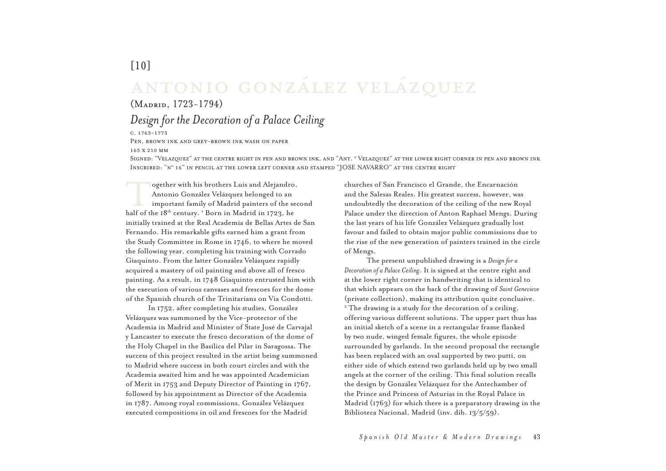## ANTONIO GONZÁLEZ VELÁZQUEZ

## $(M_{ADRID}, 1723-1794)$

## Design for the Decoration of a Palace Ceiling

 $C. 1763 - 1773$ 

 $[10]$ 

PEN. BROWN INK AND GREY-BROWN INK WASH ON PAPER 165 X 210 MM

SIGNED: "VELAZOUEZ" AT THE CENTRE RIGHT IN PEN AND BROWN INK, AND "ANT. º VELAZOUEZ" AT THE LOWER RIGHT CORNER IN PEN AND BROWN INK INSCRIBED: "N° 16" IN PENCIL AT THE LOWER LEFT CORNER AND STAMPED "JOSE NAVARRO" AT THE CENTRE RIGHT

ogether with his brothers Luis and Alejandro, Antonio González Velázquez belonged to an important family of Madrid painters of the second half of the 18<sup>th</sup> century. <sup>1</sup> Born in Madrid in 1723, he initially trained at the Real Academia de Bellas Artes de San Fernando. His remarkable gifts earned him a grant from the Study Committee in Rome in 1746, to where he moved the following year, completing his training with Corrado Giaquinto. From the latter González Velázquez rapidly acquired a mastery of oil painting and above all of fresco painting. As a result, in 1748 Giaquinto entrusted him with the execution of various canvases and frescoes for the dome of the Spanish church of the Trinitarians on Via Condotti.

In 1752, after completing his studies, González Velázquez was summoned by the Vice-protector of the Academia in Madrid and Minister of State José de Carvajal y Lancaster to execute the fresco decoration of the dome of the Holy Chapel in the Basilica del Pilar in Saragossa. The success of this project resulted in the artist being summoned to Madrid where success in both court circles and with the Academia awaited him and he was appointed Academician of Merit in 1753 and Deputy Director of Painting in 1767, followed by his appointment as Director of the Academia in 1787. Among royal commissions, González Velázquez executed compositions in oil and frescoes for the Madrid

churches of San Francisco el Grande, the Encarnación and the Salesas Reales. His greatest success, however, was undoubtedly the decoration of the ceiling of the new Royal Palace under the direction of Anton Raphael Mengs. During the last years of his life González Velázquez gradually lost favour and failed to obtain major public commissions due to the rise of the new generation of painters trained in the circle of Mengs.

The present unpublished drawing is a Design for a Decoration of a Palace Ceiling. It is signed at the centre right and at the lower right corner in handwriting that is identical to that which appears on the back of the drawing of Saint Genevieve (private collection), making its attribution quite conclusive. <sup>2</sup> The drawing is a study for the decoration of a ceiling, offering various different solutions. The upper part thus has an initial sketch of a scene in a rectangular frame flanked by two nude, winged female figures, the whole episode surrounded by garlands. In the second proposal the rectangle has been replaced with an oval supported by two putti, on either side of which extend two garlands held up by two small angels at the corner of the ceiling. This final solution recalls the design by González Velázquez for the Antechamber of the Prince and Princess of Asturias in the Royal Palace in Madrid  $(1763)$  for which there is a preparatory drawing in the Biblioteca Nacional, Madrid (inv. dib. 13/5/59).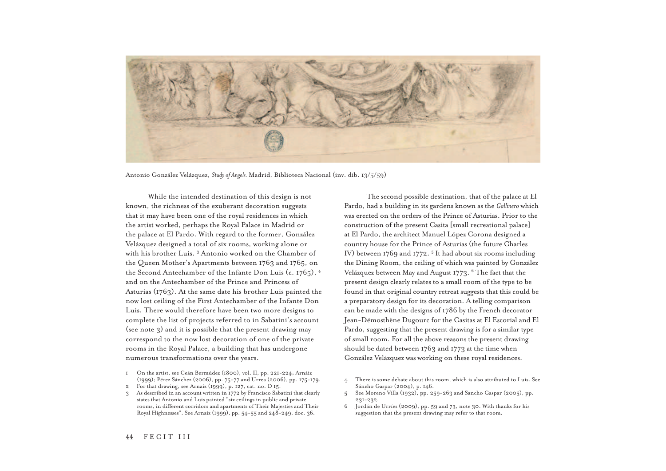

Antonio González Velázquez, *Study of Angels. M*adrid, Biblioteca Nacional (inv. dib. 13/5/59)

While the intended destination of this design is not known, the richness of the exuberant decoration suggests that it may have been one of the royal residences in which the artist worked, perhaps the Royal Palace in Madrid or the palace at El Pardo. With regard to the former, González Velázquez designed a total of six rooms, working alone or with his brother Luis.<sup>3</sup> Antonio worked on the Chamber of the Queen Mother's Apartments between 1763 and 1765, on the Second Antechamber of the Infante Don Luis (c. 1765), 4 and on the Antechamber of the Prince and Princess of Asturias (1763). At the same date his brother Luis painted the now lost ceiling of the First Antechamber of the Infante Don Luis. There would therefore have been two more designs to complete the list of projects referred to in Sabatini's account (see note 3) and it is possible that the present drawing may correspond to the now lost decoration of one of the private rooms in the Royal Palace, a building that has undergone numerous transformations over the years.

- 1 On the artist, see Ceán Bermúdez (1800), vol. II, pp. 221-224; Arnáiz (1999); Pérez Sánchez (2006), pp. 75-77 and Urrea (2006), pp. 175-179.
- $\overline{2}$ For that drawing, see Arnaiz (1999), p. 127, cat. no. D 15.
- 3 As described in an account written in 1772 by Francisco Sabatini that clearly states that Antonio and Luis painted "six ceilings in public and private rooms, in different corridors and apartments of Their Majesties and Their Royal Highnesses". See Arnaiz (1999), pp. 54-55 and 248-249, doc. 36.

The second possible destination, that of the palace at El Pardo, had a building in its gardens known as the Gallinero which was erected on the orders of the Prince of Asturias. Prior to the construction of the present Casita [small recreational palace] at El Pardo, the architect Manuel López Corona designed a country house for the Prince of Asturias (the future Charles IV) between 1769 and 1772.<sup>5</sup> It had about six rooms including the Dining Room, the ceiling of which was painted by González Velázquez between May and August 1773. <sup>6</sup> The fact that the present design clearly relates to a small room of the type to be found in that original country retreat suggests that this could be a preparatory design for its decoration. A telling comparison can be made with the designs of 1786 by the French decorator Jean-Démosthène Dugourc for the Casitas at El Escorial and El Pardo, suggesting that the present drawing is for a similar type of small room. For all the above reasons the present drawing should be dated between 1763 and 1773 at the time when González Velázquez was working on these royal residences.

- There is some debate about this room, which is also attributed to Luis. See Sáncho Gaspar (2004), p. 146.
- 5 See Moreno Villa (1932), pp. 259-263 and Sancho Gaspar (2005), pp. 231-232.
- $6$  Jordán de Urríes (2009), pp. 59 and 73, note 30. With thanks for his suggestion that the present drawing may refer to that room.